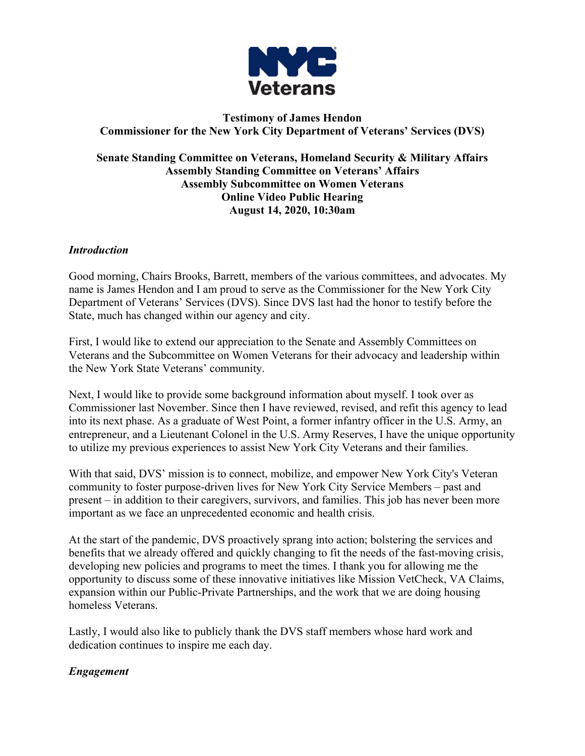

## **Testimony of James Hendon Commissioner for the New York City Department of Veterans' Services (DVS)**

### **Senate Standing Committee on Veterans, Homeland Security & Military Affairs Assembly Standing Committee on Veterans' Affairs Assembly Subcommittee on Women Veterans Online Video Public Hearing August 14, 2020, 10:30am**

## *Introduction*

Good morning, Chairs Brooks, Barrett, members of the various committees, and advocates. My name is James Hendon and I am proud to serve as the Commissioner for the New York City Department of Veterans' Services (DVS). Since DVS last had the honor to testify before the State, much has changed within our agency and city.

First, I would like to extend our appreciation to the Senate and Assembly Committees on Veterans and the Subcommittee on Women Veterans for their advocacy and leadership within the New York State Veterans' community.

Next, I would like to provide some background information about myself. I took over as Commissioner last November. Since then I have reviewed, revised, and refit this agency to lead into its next phase. As a graduate of West Point, a former infantry officer in the U.S. Army, an entrepreneur, and a Lieutenant Colonel in the U.S. Army Reserves, I have the unique opportunity to utilize my previous experiences to assist New York City Veterans and their families.

With that said, DVS' mission is to connect, mobilize, and empower New York City's Veteran community to foster purpose-driven lives for New York City Service Members – past and present – in addition to their caregivers, survivors, and families. This job has never been more important as we face an unprecedented economic and health crisis.

At the start of the pandemic, DVS proactively sprang into action; bolstering the services and benefits that we already offered and quickly changing to fit the needs of the fast-moving crisis, developing new policies and programs to meet the times. I thank you for allowing me the opportunity to discuss some of these innovative initiatives like Mission VetCheck, VA Claims, expansion within our Public-Private Partnerships, and the work that we are doing housing homeless Veterans.

Lastly, I would also like to publicly thank the DVS staff members whose hard work and dedication continues to inspire me each day.

## *Engagement*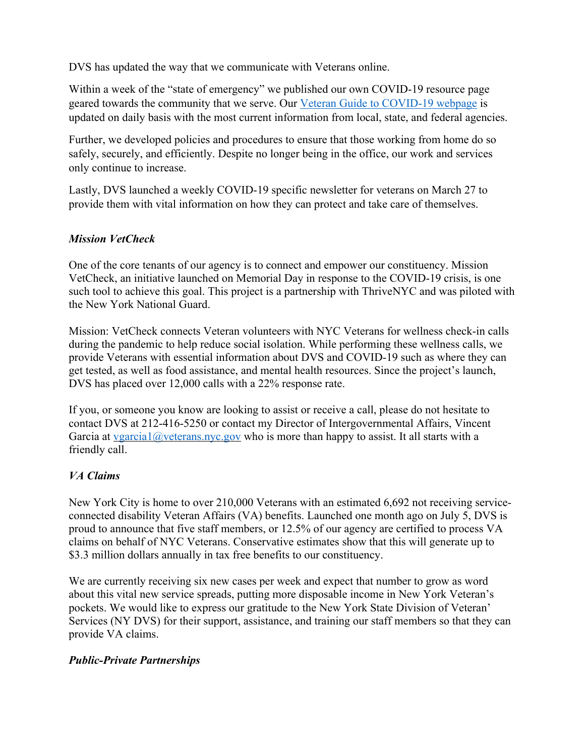DVS has updated the way that we communicate with Veterans online.

Within a week of the "state of emergency" we published our own COVID-19 resource page geared towards the community that we serve. Our Veteran Guide to COVID-19 webpage is updated on daily basis with the most current information from local, state, and federal agencies.

Further, we developed policies and procedures to ensure that those working from home do so safely, securely, and efficiently. Despite no longer being in the office, our work and services only continue to increase.

Lastly, DVS launched a weekly COVID-19 specific newsletter for veterans on March 27 to provide them with vital information on how they can protect and take care of themselves.

## *Mission VetCheck*

One of the core tenants of our agency is to connect and empower our constituency. Mission VetCheck, an initiative launched on Memorial Day in response to the COVID-19 crisis, is one such tool to achieve this goal. This project is a partnership with ThriveNYC and was piloted with the New York National Guard.

Mission: VetCheck connects Veteran volunteers with NYC Veterans for wellness check-in calls during the pandemic to help reduce social isolation. While performing these wellness calls, we provide Veterans with essential information about DVS and COVID-19 such as where they can get tested, as well as food assistance, and mental health resources. Since the project's launch, DVS has placed over 12,000 calls with a 22% response rate.

If you, or someone you know are looking to assist or receive a call, please do not hesitate to contact DVS at 212-416-5250 or contact my Director of Intergovernmental Affairs, Vincent Garcia at vgarcia1@veterans.nyc.gov who is more than happy to assist. It all starts with a friendly call.

## *VA Claims*

New York City is home to over 210,000 Veterans with an estimated 6,692 not receiving serviceconnected disability Veteran Affairs (VA) benefits. Launched one month ago on July 5, DVS is proud to announce that five staff members, or 12.5% of our agency are certified to process VA claims on behalf of NYC Veterans. Conservative estimates show that this will generate up to \$3.3 million dollars annually in tax free benefits to our constituency.

We are currently receiving six new cases per week and expect that number to grow as word about this vital new service spreads, putting more disposable income in New York Veteran's pockets. We would like to express our gratitude to the New York State Division of Veteran' Services (NY DVS) for their support, assistance, and training our staff members so that they can provide VA claims.

## *Public-Private Partnerships*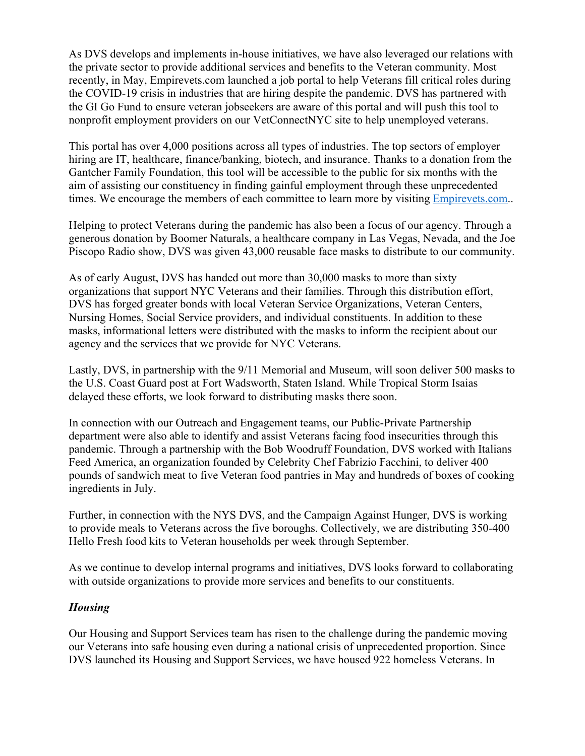As DVS develops and implements in-house initiatives, we have also leveraged our relations with the private sector to provide additional services and benefits to the Veteran community. Most recently, in May, Empirevets.com launched a job portal to help Veterans fill critical roles during the COVID-19 crisis in industries that are hiring despite the pandemic. DVS has partnered with the GI Go Fund to ensure veteran jobseekers are aware of this portal and will push this tool to nonprofit employment providers on our VetConnectNYC site to help unemployed veterans.

This portal has over 4,000 positions across all types of industries. The top sectors of employer hiring are IT, healthcare, finance/banking, biotech, and insurance. Thanks to a donation from the Gantcher Family Foundation, this tool will be accessible to the public for six months with the aim of assisting our constituency in finding gainful employment through these unprecedented times. We encourage the members of each committee to learn more by visiting Empirevets.com..

Helping to protect Veterans during the pandemic has also been a focus of our agency. Through a generous donation by Boomer Naturals, a healthcare company in Las Vegas, Nevada, and the Joe Piscopo Radio show, DVS was given 43,000 reusable face masks to distribute to our community.

As of early August, DVS has handed out more than 30,000 masks to more than sixty organizations that support NYC Veterans and their families. Through this distribution effort, DVS has forged greater bonds with local Veteran Service Organizations, Veteran Centers, Nursing Homes, Social Service providers, and individual constituents. In addition to these masks, informational letters were distributed with the masks to inform the recipient about our agency and the services that we provide for NYC Veterans.

Lastly, DVS, in partnership with the 9/11 Memorial and Museum, will soon deliver 500 masks to the U.S. Coast Guard post at Fort Wadsworth, Staten Island. While Tropical Storm Isaias delayed these efforts, we look forward to distributing masks there soon.

In connection with our Outreach and Engagement teams, our Public-Private Partnership department were also able to identify and assist Veterans facing food insecurities through this pandemic. Through a partnership with the Bob Woodruff Foundation, DVS worked with Italians Feed America, an organization founded by Celebrity Chef Fabrizio Facchini, to deliver 400 pounds of sandwich meat to five Veteran food pantries in May and hundreds of boxes of cooking ingredients in July.

Further, in connection with the NYS DVS, and the Campaign Against Hunger, DVS is working to provide meals to Veterans across the five boroughs. Collectively, we are distributing 350-400 Hello Fresh food kits to Veteran households per week through September.

As we continue to develop internal programs and initiatives, DVS looks forward to collaborating with outside organizations to provide more services and benefits to our constituents.

## *Housing*

Our Housing and Support Services team has risen to the challenge during the pandemic moving our Veterans into safe housing even during a national crisis of unprecedented proportion. Since DVS launched its Housing and Support Services, we have housed 922 homeless Veterans. In